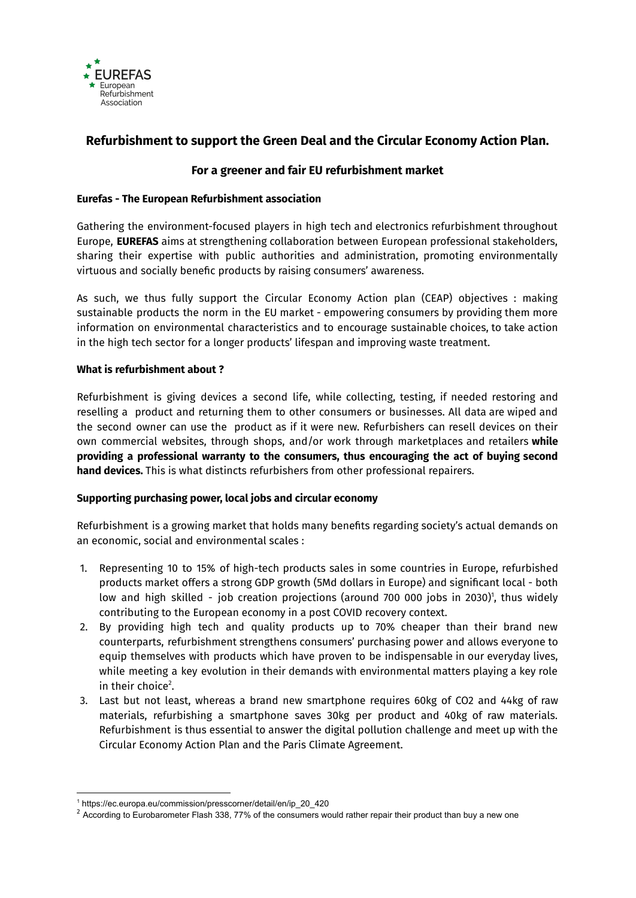

# **Refurbishment to support the Green Deal and the Circular Economy Action Plan.**

# **For a greener and fair EU refurbishment market**

## **Eurefas - The European Refurbishment association**

Gathering the environment-focused players in high tech and electronics refurbishment throughout Europe, **EUREFAS** aims at strengthening collaboration between European professional stakeholders, sharing their expertise with public authorities and administration, promoting environmentally virtuous and socially benefic products by raising consumers' awareness.

As such, we thus fully support the Circular Economy Action plan (CEAP) objectives : making sustainable products the norm in the EU market - empowering consumers by providing them more information on environmental characteristics and to encourage sustainable choices, to take action in the high tech sector for a longer products' lifespan and improving waste treatment.

### **What is refurbishment about ?**

Refurbishment is giving devices a second life, while collecting, testing, if needed restoring and reselling a product and returning them to other consumers or businesses. All data are wiped and the second owner can use the product as if it were new. Refurbishers can resell devices on their own commercial websites, through shops, and/or work through marketplaces and retailers **while providing a professional warranty to the consumers, thus encouraging the act of buying second hand devices.** This is what distincts refurbishers from other professional repairers.

#### **Supporting purchasing power, local jobs and circular economy**

Refurbishment is a growing market that holds many benefits regarding society's actual demands on an economic, social and environmental scales :

- 1. Representing 10 to 15% of high-tech products sales in some countries in Europe, refurbished products market offers a strong GDP growth (5Md dollars in Europe) and significant local - both low and high skilled - job creation projections (around 700 000 jobs in 2030) 1 , thus widely contributing to the European economy in a post COVID recovery context.
- 2. By providing high tech and quality products up to 70% cheaper than their brand new counterparts, refurbishment strengthens consumers' purchasing power and allows everyone to equip themselves with products which have proven to be indispensable in our everyday lives, while meeting a key evolution in their demands with environmental matters playing a key role in their choice 2 .
- 3. Last but not least, whereas a brand new smartphone requires 60kg of CO2 and 44kg of raw materials, refurbishing a smartphone saves 30kg per product and 40kg of raw materials. Refurbishment is thus essential to answer the digital pollution challenge and meet up with the Circular Economy Action Plan and the Paris Climate Agreement.

<sup>1</sup> https://ec.europa.eu/commission/presscorner/detail/en/ip\_20\_420

 $2$  According to Eurobarometer Flash 338, 77% of the consumers would rather repair their product than buy a new one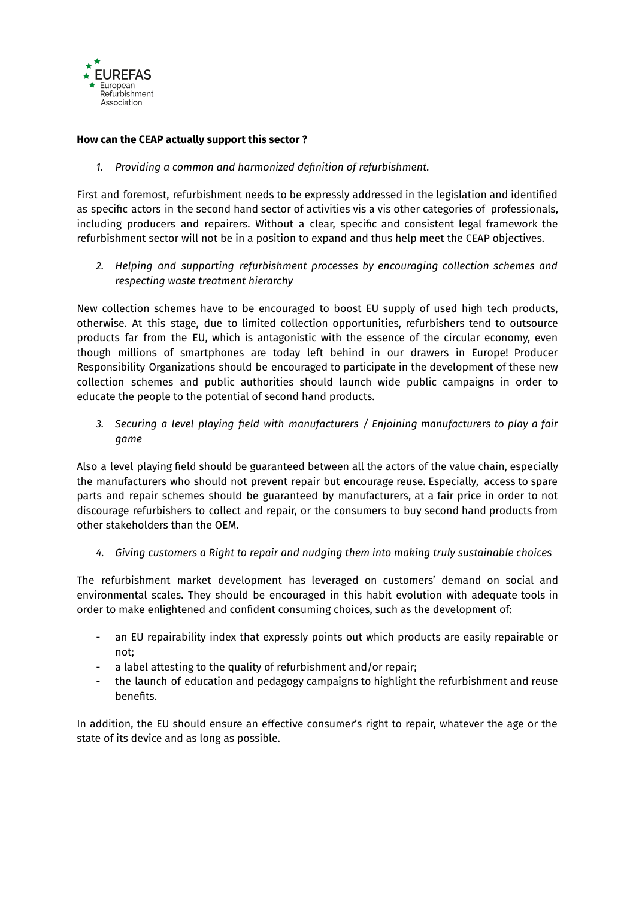

#### **How can the CEAP actually support this sector ?**

*1. Providing a common and harmonized definition of refurbishment.*

First and foremost, refurbishment needs to be expressly addressed in the legislation and identified as specific actors in the second hand sector of activities vis a vis other categories of professionals, including producers and repairers. Without a clear, specific and consistent legal framework the refurbishment sector will not be in a position to expand and thus help meet the CEAP objectives.

*2. Helping and supporting refurbishment processes by encouraging collection schemes and respecting waste treatment hierarchy*

New collection schemes have to be encouraged to boost EU supply of used high tech products, otherwise. At this stage, due to limited collection opportunities, refurbishers tend to outsource products far from the EU, which is antagonistic with the essence of the circular economy, even though millions of smartphones are today left behind in our drawers in Europe! Producer Responsibility Organizations should be encouraged to participate in the development of these new collection schemes and public authorities should launch wide public campaigns in order to educate the people to the potential of second hand products.

*3. Securing a level playing field with manufacturers / Enjoining manufacturers to play a fair game*

Also a level playing field should be guaranteed between all the actors of the value chain, especially the manufacturers who should not prevent repair but encourage reuse. Especially, access to spare parts and repair schemes should be guaranteed by manufacturers, at a fair price in order to not discourage refurbishers to collect and repair, or the consumers to buy second hand products from other stakeholders than the OEM.

*4. Giving customers a Right to repair and nudging them into making truly sustainable choices*

The refurbishment market development has leveraged on customers' demand on social and environmental scales. They should be encouraged in this habit evolution with adequate tools in order to make enlightened and confident consuming choices, such as the development of:

- an EU repairability index that expressly points out which products are easily repairable or not;
- a label attesting to the quality of refurbishment and/or repair;
- the launch of education and pedagogy campaigns to highlight the refurbishment and reuse benefits.

In addition, the EU should ensure an effective consumer's right to repair, whatever the age or the state of its device and as long as possible.